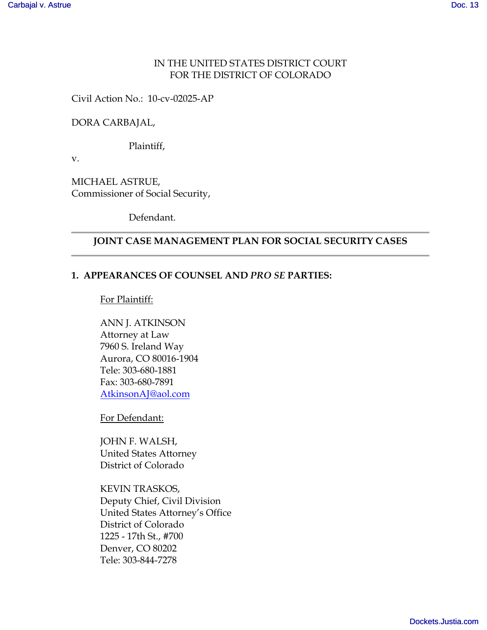#### IN THE UNITED STATES DISTRICT COURT FOR THE DISTRICT OF COLORADO

Civil Action No.: 10-cv-02025-AP

#### DORA CARBAJAL,

Plaintiff,

v.

MICHAEL ASTRUE, Commissioner of Social Security,

Defendant.

#### **JOINT CASE MANAGEMENT PLAN FOR SOCIAL SECURITY CASES**

#### **1. APPEARANCES OF COUNSEL AND** *PRO SE* **PARTIES:**

For Plaintiff:

ANN J. ATKINSON Attorney at Law 7960 S. Ireland Way Aurora, CO 80016-1904 Tele: 303-680-1881 Fax: 303-680-7891 AtkinsonAJ@aol.com

For Defendant:

JOHN F. WALSH, United States Attorney District of Colorado

KEVIN TRASKOS, Deputy Chief, Civil Division United States Attorney's Office District of Colorado 1225 - 17th St., #700 Denver, CO 80202 Tele: 303-844-7278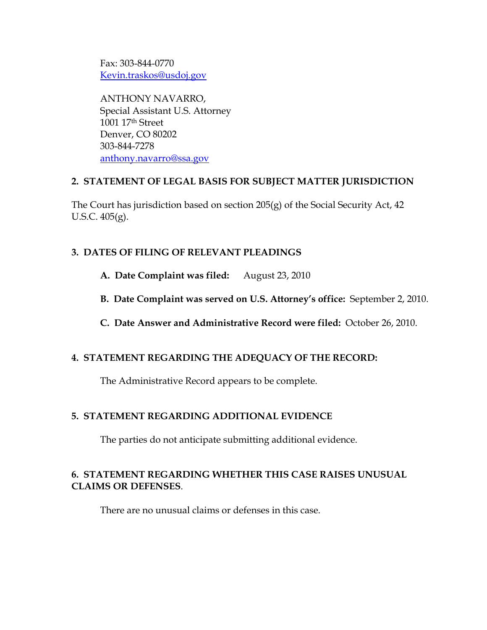Fax: 303-844-0770 Kevin.traskos@usdoj.gov

 ANTHONY NAVARRO, Special Assistant U.S. Attorney 1001 17th Street Denver, CO 80202 303-844-7278 anthony.navarro@ssa.gov

#### **2. STATEMENT OF LEGAL BASIS FOR SUBJECT MATTER JURISDICTION**

The Court has jurisdiction based on section 205(g) of the Social Security Act, 42 U.S.C. 405(g).

## **3. DATES OF FILING OF RELEVANT PLEADINGS**

- **A. Date Complaint was filed:** August 23, 2010
- **B. Date Complaint was served on U.S. Attorney's office:** September 2, 2010.

**C. Date Answer and Administrative Record were filed:** October 26, 2010.

#### **4. STATEMENT REGARDING THE ADEQUACY OF THE RECORD:**

The Administrative Record appears to be complete.

# **5. STATEMENT REGARDING ADDITIONAL EVIDENCE**

The parties do not anticipate submitting additional evidence.

## **6. STATEMENT REGARDING WHETHER THIS CASE RAISES UNUSUAL CLAIMS OR DEFENSES**.

There are no unusual claims or defenses in this case.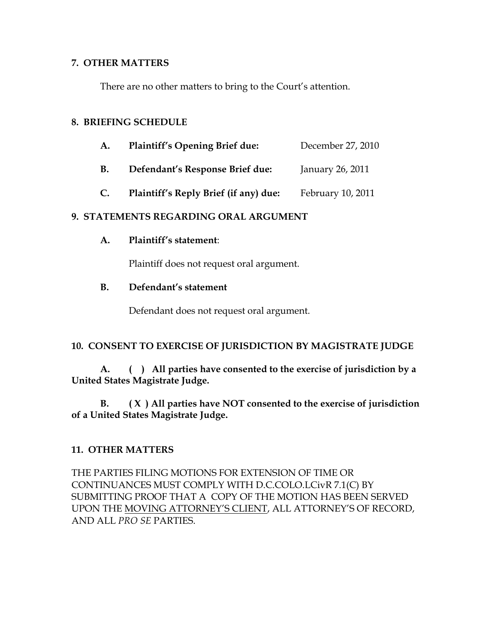#### **7. OTHER MATTERS**

There are no other matters to bring to the Court's attention.

#### **8. BRIEFING SCHEDULE**

| <b>Plaintiff's Opening Brief due:</b><br>A. | December 27, 2010 |
|---------------------------------------------|-------------------|
|---------------------------------------------|-------------------|

- **B. Defendant's Response Brief due:** January 26, 2011
- **C. Plaintiff's Reply Brief (if any) due:** February 10, 2011

## **9. STATEMENTS REGARDING ORAL ARGUMENT**

## **A. Plaintiff's statement**:

Plaintiff does not request oral argument.

## **B. Defendant's statement**

Defendant does not request oral argument.

# **10. CONSENT TO EXERCISE OF JURISDICTION BY MAGISTRATE JUDGE**

 **A. ( ) All parties have consented to the exercise of jurisdiction by a United States Magistrate Judge.** 

 **B. ( X ) All parties have NOT consented to the exercise of jurisdiction of a United States Magistrate Judge.**

# **11. OTHER MATTERS**

THE PARTIES FILING MOTIONS FOR EXTENSION OF TIME OR CONTINUANCES MUST COMPLY WITH D.C.COLO.LCivR 7.1(C) BY SUBMITTING PROOF THAT A COPY OF THE MOTION HAS BEEN SERVED UPON THE MOVING ATTORNEY'S CLIENT, ALL ATTORNEY'S OF RECORD, AND ALL *PRO SE* PARTIES.